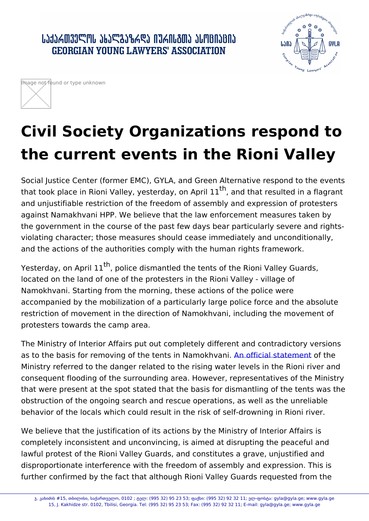# Civil Society Organizations respo the current events in the Rioni Va

Social Justice Center (former EMC), GYLA, and Green Alternative r that took place in Rioni Valley, yeste<sup>th</sup>aayndonhaprries1u1lted in a flagr and unjustifiable restriction of the freedom of assembly and expres against Namakhvani HPP. We believe that the law enforcement mea the government in the course of the past few days bear particularly violating character; those measures should cease immediately and and the actions of the authorities comply with the human rights frai

Yesterday, on A<sup>th</sup>ripollice dismantled the tents of the Rioni Valley G located on the land of one of the protesters in the Rioni Valley - vi Namokhvani. Starting from the morning, these actions of the police accompanied by the mobilization of a particularly large police force restriction of movement in the direction of Namokhvani, including t protesters towards the camp area.

The Ministry of Interior Affairs put out completely different and cor as to the basis for removing of the tentsAim on faincical havitant noon the Ministry referred to the danger related to the rising water levels in consequent flooding of the surrounding area. However, representati that were present at the spot stated that the basis for dismantling obstruction of the ongoing search and rescue operations, as well as behavior of the locals which could result in the risk of self-drownin

We believe that the justification of its actions by the Ministry of In completely inconsistent and unconvincing, is aimed at disrupting th lawful protest of the Rioni Valley Guards, and constitutes a grave, disproportionate interference with the freedom of assembly and exp further confirmed by the fact that although Rioni Valley Guards req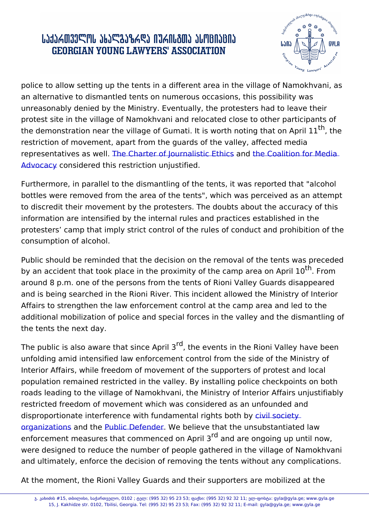police to allow setting up the tents in a different area in the villag an alternative to dismantled tents on numerous occasions, this pos unreasonably denied by the Ministry. Eventually, the protesters had protest site in the village of Namokhvani and relocated close to oth the demonstration near the village of Gumati. It is worth<sup>th</sup>nothiong tha restriction of movement, apart from the guards of the valley, affect representatives a EhwelCharter of Journalistic Heth Constition for Media Advocacyonsidered this restriction unjustified.

Furthermore, in [parallel to the dismantli](https://www.qartia.ge/ka/siakhleebi/article/87525-mediis-mushaobis-shezghudva-daushvebelia)ng [of the tents, it w](https://www.facebook.com/permalink.php?story_fbid=3785759768198595&id=892204610887473)as repo [bottles](https://www.facebook.com/permalink.php?story_fbid=3785759768198595&id=892204610887473) were removed from the area of the tents", which was percei to discredit their movement by the protesters. The doubts about the information are intensified by the internal rules and practices estal protesters camp that imply strict control of the rules of conduct ar consumption of alcohol.

Public should be reminded that the decision on the removal of the t by an accident that took place in the proximity of the  $^{\text{t}}$   $\!$  a Finporoarea on around 8 p.m. one of the persons from the tents of Rioni Valley Guards disappeared areas of Rioni Valley Guards and is being searched in the Rioni River. This incident allowed the Affairs to strengthen the law enforcement control at the camp area additional mobilization of police and special forces in the valley ar the tents the next day.

The public is also aware that  ${}^r\!g\!i}$  inthe Apeints in the Rioni Valley have unfolding amid intensified law enforcement control from the side of Interior Affairs, while freedom of movement of the supporters of pro population remained restricted in the valley. By installing police ch roads leading to the village of Namokhvani, the Ministry of Interior restricted freedom of movement which was considered as an unfoun disproportionate interference with fundamental rights eboth by organizations the ublic Defend Near believe that the unsubstantiated law enforcement measures that commen $c^{\{d\}}$ danoch aArperidn $\mathfrak A$  oing up until now, were designed to reduce the number of peo[ple gather](https://socialjustice.org.ge/ka/products/dauqovnebliv-datovos-politsiam-rionis-kheoba-da-shetsqdes-namakhvani-hesis-samsheneblo-samushaoebi)ed in the villa [and ultim](https://socialjustice.org.ge/ka/products/dauqovnebliv-datovos-politsiam-rionis-kheoba-da-shetsqdes-namakhvani-hesis-samsheneblo-samushaoebi)ately, [enforce the](https://reginfo.ge/people/item/21802-rionis-xeobashi-gadaadgilebis-shezgudva-araproporziulia-–-saxalxo-damzveli) decision of removing the tents without a

At the moment, the Rioni Valley Guards and their supporters are mo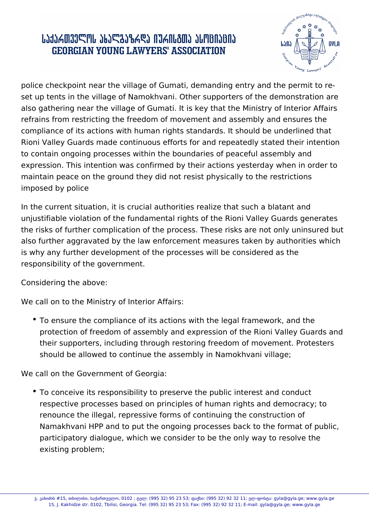## ․ ԱՆՅՆՃᲗᲕᲔᲚᲝᲡ ᲐᲮᲐᲚᲒᲐᲖᲠᲓᲐ ᲘᲣᲠᲘᲡᲒᲗᲐ ᲐᲡᲝᲪᲘᲐᲪᲘᲐ **GEORGIAN YOUNG LAWYERS' ASSOCIATION**



police checkpoint near the village of Gumati, demanding entry and the permit to reset up tents in the village of Namokhvani. Other supporters of the demonstration are also gathering near the village of Gumati. It is key that the Ministry of Interior Affairs refrains from restricting the freedom of movement and assembly and ensures the compliance of its actions with human rights standards. It should be underlined that Rioni Valley Guards made continuous efforts for and repeatedly stated their intention to contain ongoing processes within the boundaries of peaceful assembly and expression. This intention was confirmed by their actions yesterday when in order to maintain peace on the ground they did not resist physically to the restrictions imposed by police

In the current situation, it is crucial authorities realize that such a blatant and unjustifiable violation of the fundamental rights of the Rioni Valley Guards generates the risks of further complication of the process. These risks are not only uninsured but also further aggravated by the law enforcement measures taken by authorities which is why any further development of the processes will be considered as the responsibility of the government.

Considering the above:

We call on to the Ministry of Interior Affairs:

To ensure the compliance of its actions with the legal framework, and the protection of freedom of assembly and expression of the Rioni Valley Guards and their supporters, including through restoring freedom of movement. Protesters should be allowed to continue the assembly in Namokhvani village;

We call on the Government of Georgia:

To conceive its responsibility to preserve the public interest and conduct respective processes based on principles of human rights and democracy; to renounce the illegal, repressive forms of continuing the construction of Namakhvani HPP and to put the ongoing processes back to the format of public, participatory dialogue, which we consider to be the only way to resolve the existing problem;